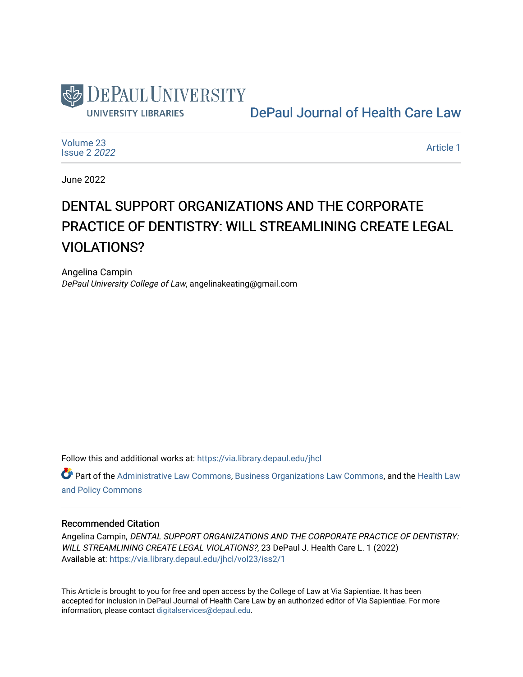

[DePaul Journal of Health Care Law](https://via.library.depaul.edu/jhcl) 

[Volume 23](https://via.library.depaul.edu/jhcl/vol23) [Issue 2](https://via.library.depaul.edu/jhcl/vol23/iss2) 2022

[Article 1](https://via.library.depaul.edu/jhcl/vol23/iss2/1) 

June 2022

# DENTAL SUPPORT ORGANIZATIONS AND THE CORPORATE PRACTICE OF DENTISTRY: WILL STREAMLINING CREATE LEGAL VIOLATIONS?

Angelina Campin DePaul University College of Law, angelinakeating@gmail.com

Follow this and additional works at: [https://via.library.depaul.edu/jhcl](https://via.library.depaul.edu/jhcl?utm_source=via.library.depaul.edu%2Fjhcl%2Fvol23%2Fiss2%2F1&utm_medium=PDF&utm_campaign=PDFCoverPages) 

Part of the [Administrative Law Commons,](https://network.bepress.com/hgg/discipline/579?utm_source=via.library.depaul.edu%2Fjhcl%2Fvol23%2Fiss2%2F1&utm_medium=PDF&utm_campaign=PDFCoverPages) [Business Organizations Law Commons](https://network.bepress.com/hgg/discipline/900?utm_source=via.library.depaul.edu%2Fjhcl%2Fvol23%2Fiss2%2F1&utm_medium=PDF&utm_campaign=PDFCoverPages), and the [Health Law](https://network.bepress.com/hgg/discipline/901?utm_source=via.library.depaul.edu%2Fjhcl%2Fvol23%2Fiss2%2F1&utm_medium=PDF&utm_campaign=PDFCoverPages) [and Policy Commons](https://network.bepress.com/hgg/discipline/901?utm_source=via.library.depaul.edu%2Fjhcl%2Fvol23%2Fiss2%2F1&utm_medium=PDF&utm_campaign=PDFCoverPages)

## Recommended Citation

Angelina Campin, DENTAL SUPPORT ORGANIZATIONS AND THE CORPORATE PRACTICE OF DENTISTRY: WILL STREAMLINING CREATE LEGAL VIOLATIONS?, 23 DePaul J. Health Care L. 1 (2022) Available at: [https://via.library.depaul.edu/jhcl/vol23/iss2/1](https://via.library.depaul.edu/jhcl/vol23/iss2/1?utm_source=via.library.depaul.edu%2Fjhcl%2Fvol23%2Fiss2%2F1&utm_medium=PDF&utm_campaign=PDFCoverPages)

This Article is brought to you for free and open access by the College of Law at Via Sapientiae. It has been accepted for inclusion in DePaul Journal of Health Care Law by an authorized editor of Via Sapientiae. For more information, please contact [digitalservices@depaul.edu](mailto:digitalservices@depaul.edu).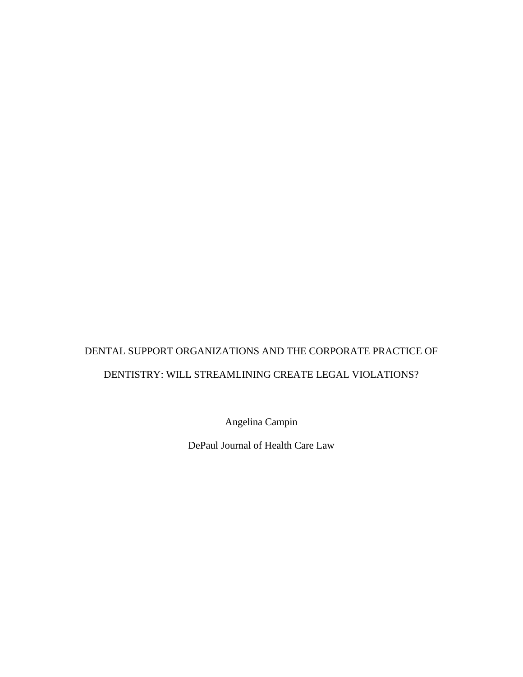## DENTAL SUPPORT ORGANIZATIONS AND THE CORPORATE PRACTICE OF DENTISTRY: WILL STREAMLINING CREATE LEGAL VIOLATIONS?

Angelina Campin

DePaul Journal of Health Care Law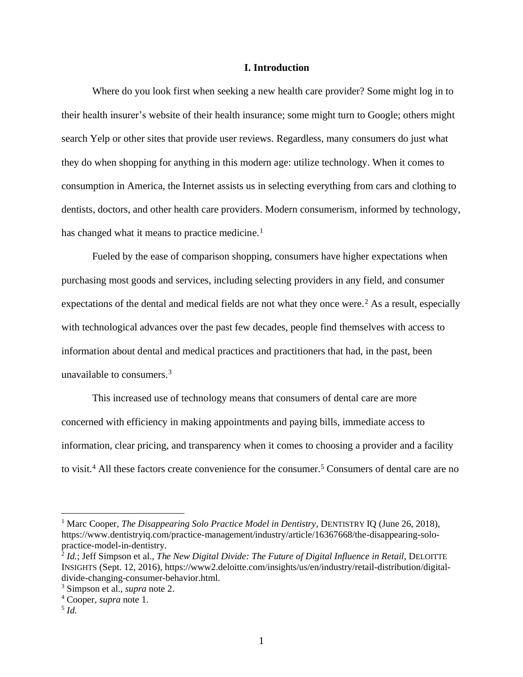## **I. Introduction**

Where do you look first when seeking a new health care provider? Some might log in to their health insurer's website of their health insurance; some might turn to Google; others might search Yelp or other sites that provide user reviews. Regardless, many consumers do just what they do when shopping for anything in this modern age: utilize technology. When it comes to consumption in America, the Internet assists us in selecting everything from cars and clothing to dentists, doctors, and other health care providers. Modern consumerism, informed by technology, has changed what it means to practice medicine.<sup>1</sup>

Fueled by the ease of comparison shopping, consumers have higher expectations when purchasing most goods and services, including selecting providers in any field, and consumer expectations of the dental and medical fields are not what they once were.<sup>2</sup> As a result, especially with technological advances over the past few decades, people find themselves with access to information about dental and medical practices and practitioners that had, in the past, been unavailable to consumers.<sup>3</sup>

This increased use of technology means that consumers of dental care are more concerned with efficiency in making appointments and paying bills, immediate access to information, clear pricing, and transparency when it comes to choosing a provider and a facility to visit.<sup>4</sup> All these factors create convenience for the consumer.<sup>5</sup> Consumers of dental care are no

<sup>1</sup> Marc Cooper, *The Disappearing Solo Practice Model in Dentistry*, DENTISTRY IQ (June 26, 2018), https://www.dentistryiq.com/practice-management/industry/article/16367668/the-disappearing-solopractice-model-in-dentistry.

<sup>&</sup>lt;sup>2</sup> *Id.*; Jeff Simpson et al., *The New Digital Divide: The Future of Digital Influence in Retail*, DELOITTE INSIGHTS (Sept. 12, 2016), https://www2.deloitte.com/insights/us/en/industry/retail-distribution/digitaldivide-changing-consumer-behavior.html.

<sup>3</sup> Simpson et al., *supra* note 2.

<sup>4</sup> Cooper, *supra* note 1.

<sup>5</sup> *Id.*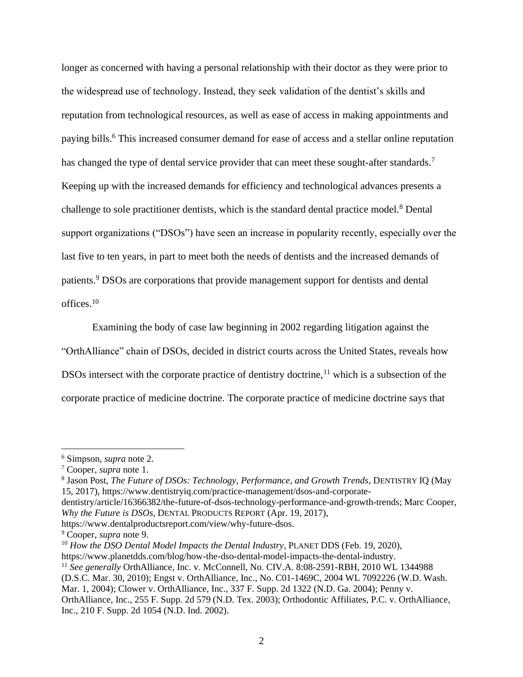longer as concerned with having a personal relationship with their doctor as they were prior to the widespread use of technology. Instead, they seek validation of the dentist's skills and reputation from technological resources, as well as ease of access in making appointments and paying bills. <sup>6</sup> This increased consumer demand for ease of access and a stellar online reputation has changed the type of dental service provider that can meet these sought-after standards.<sup>7</sup> Keeping up with the increased demands for efficiency and technological advances presents a challenge to sole practitioner dentists, which is the standard dental practice model.<sup>8</sup> Dental support organizations ("DSOs") have seen an increase in popularity recently, especially over the last five to ten years, in part to meet both the needs of dentists and the increased demands of patients.<sup>9</sup> DSOs are corporations that provide management support for dentists and dental offices. 10

Examining the body of case law beginning in 2002 regarding litigation against the "OrthAlliance" chain of DSOs, decided in district courts across the United States, reveals how DSOs intersect with the corporate practice of dentistry doctrine, $11$  which is a subsection of the corporate practice of medicine doctrine. The corporate practice of medicine doctrine says that

<sup>10</sup> How the DSO Dental Model Impacts the Dental Industry, PLANET DDS (Feb. 19, 2020),

https://www.planetdds.com/blog/how-the-dso-dental-model-impacts-the-dental-industry.

(D.S.C. Mar. 30, 2010); Engst v. OrthAlliance, Inc., No. C01-1469C, 2004 WL 7092226 (W.D. Wash.

<sup>6</sup> Simpson, *supra* note 2.

<sup>7</sup> Cooper, *supra* note 1.

<sup>8</sup> Jason Post, *The Future of DSOs: Technology, Performance, and Growth Trends*, DENTISTRY IQ (May 15, 2017), https://www.dentistryiq.com/practice-management/dsos-and-corporate-

dentistry/article/16366382/the-future-of-dsos-technology-performance-and-growth-trends; Marc Cooper, *Why the Future is DSOs,* DENTAL PRODUCTS REPORT (Apr. 19, 2017),

https://www.dentalproductsreport.com/view/why-future-dsos.

<sup>9</sup> Cooper, *supra* note 9.

<sup>11</sup> *See generally* OrthAlliance, Inc. v. McConnell, No. CIV.A. 8:08-2591-RBH, 2010 WL 1344988

Mar. 1, 2004); Clower v. OrthAlliance, Inc., 337 F. Supp. 2d 1322 (N.D. Ga. 2004); Penny v.

OrthAlliance, Inc., 255 F. Supp. 2d 579 (N.D. Tex. 2003); Orthodontic Affiliates, P.C. v. OrthAlliance, Inc., 210 F. Supp. 2d 1054 (N.D. Ind. 2002).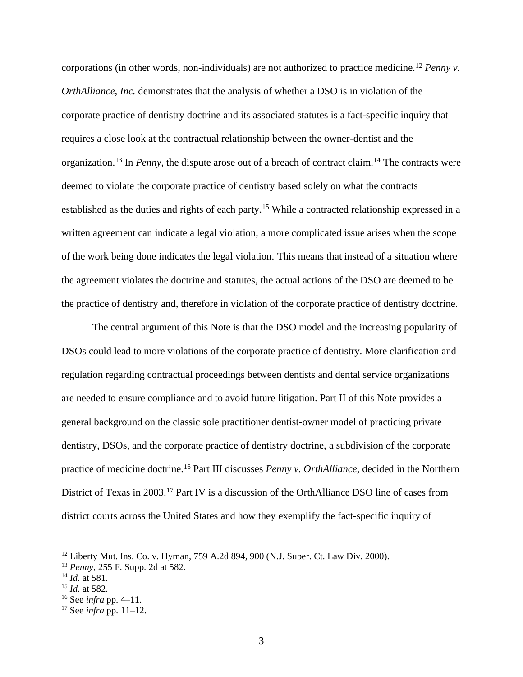corporations (in other words, non-individuals) are not authorized to practice medicine.<sup>12</sup> *Penny v. OrthAlliance, Inc.* demonstrates that the analysis of whether a DSO is in violation of the corporate practice of dentistry doctrine and its associated statutes is a fact-specific inquiry that requires a close look at the contractual relationship between the owner-dentist and the organization.<sup>13</sup> In *Penny*, the dispute arose out of a breach of contract claim.<sup>14</sup> The contracts were deemed to violate the corporate practice of dentistry based solely on what the contracts established as the duties and rights of each party.<sup>15</sup> While a contracted relationship expressed in a written agreement can indicate a legal violation, a more complicated issue arises when the scope of the work being done indicates the legal violation. This means that instead of a situation where the agreement violates the doctrine and statutes, the actual actions of the DSO are deemed to be the practice of dentistry and, therefore in violation of the corporate practice of dentistry doctrine.

The central argument of this Note is that the DSO model and the increasing popularity of DSOs could lead to more violations of the corporate practice of dentistry. More clarification and regulation regarding contractual proceedings between dentists and dental service organizations are needed to ensure compliance and to avoid future litigation. Part II of this Note provides a general background on the classic sole practitioner dentist-owner model of practicing private dentistry, DSOs, and the corporate practice of dentistry doctrine, a subdivision of the corporate practice of medicine doctrine.<sup>16</sup> Part III discusses *Penny v. OrthAlliance,* decided in the Northern District of Texas in 2003.<sup>17</sup> Part IV is a discussion of the OrthAlliance DSO line of cases from district courts across the United States and how they exemplify the fact-specific inquiry of

<sup>12</sup> Liberty Mut. Ins. Co. v. Hyman, 759 A.2d 894, 900 (N.J. Super. Ct. Law Div. 2000).

<sup>13</sup> *Penny*, 255 F. Supp. 2d at 582.

<sup>14</sup> *Id.* at 581.

<sup>15</sup> *Id.* at 582.

<sup>16</sup> See *infra* pp. 4–11.

<sup>17</sup> See *infra* pp. 11–12.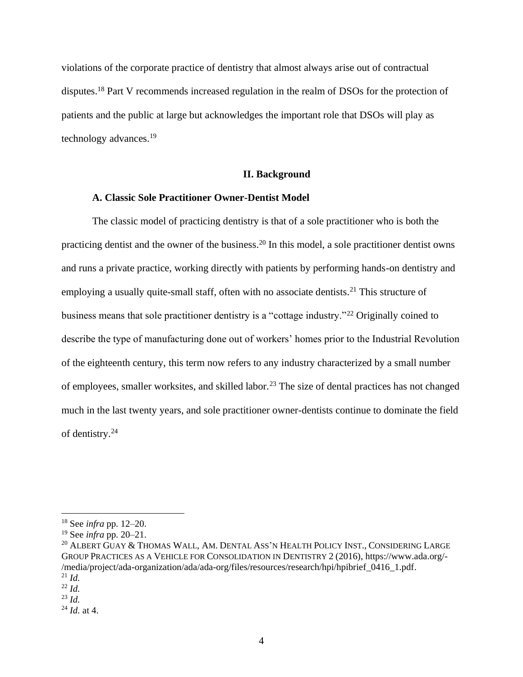violations of the corporate practice of dentistry that almost always arise out of contractual disputes.<sup>18</sup> Part V recommends increased regulation in the realm of DSOs for the protection of patients and the public at large but acknowledges the important role that DSOs will play as technology advances.<sup>19</sup>

## **II. Background**

## **A. Classic Sole Practitioner Owner-Dentist Model**

The classic model of practicing dentistry is that of a sole practitioner who is both the practicing dentist and the owner of the business.<sup>20</sup> In this model, a sole practitioner dentist owns and runs a private practice, working directly with patients by performing hands-on dentistry and employing a usually quite-small staff, often with no associate dentists.<sup>21</sup> This structure of business means that sole practitioner dentistry is a "cottage industry."<sup>22</sup> Originally coined to describe the type of manufacturing done out of workers' homes prior to the Industrial Revolution of the eighteenth century, this term now refers to any industry characterized by a small number of employees, smaller worksites, and skilled labor.<sup>23</sup> The size of dental practices has not changed much in the last twenty years, and sole practitioner owner-dentists continue to dominate the field of dentistry.<sup>24</sup>

<sup>18</sup> See *infra* pp. 12–20.

<sup>19</sup> See *infra* pp. 20–21.

<sup>&</sup>lt;sup>20</sup> ALBERT GUAY & THOMAS WALL, AM. DENTAL ASS'N HEALTH POLICY INST., CONSIDERING LARGE GROUP PRACTICES AS A VEHICLE FOR CONSOLIDATION IN DENTISTRY 2 (2016), https://www.ada.org/- /media/project/ada-organization/ada/ada-org/files/resources/research/hpi/hpibrief\_0416\_1.pdf.  $^{21}$  *Id.* 

 $^{22}$  *Id.* 

<sup>23</sup> *Id.*

<sup>24</sup> *Id.* at 4.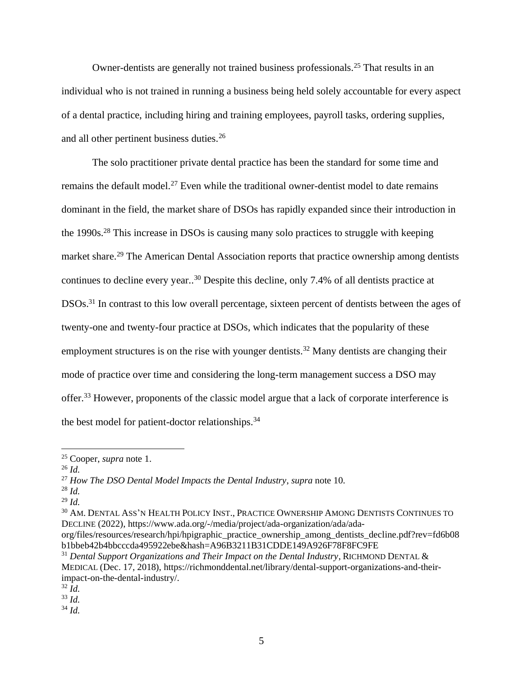Owner-dentists are generally not trained business professionals.<sup>25</sup> That results in an individual who is not trained in running a business being held solely accountable for every aspect of a dental practice, including hiring and training employees, payroll tasks, ordering supplies, and all other pertinent business duties.<sup>26</sup>

The solo practitioner private dental practice has been the standard for some time and remains the default model.<sup>27</sup> Even while the traditional owner-dentist model to date remains dominant in the field, the market share of DSOs has rapidly expanded since their introduction in the 1990s.<sup>28</sup> This increase in DSOs is causing many solo practices to struggle with keeping market share.<sup>29</sup> The American Dental Association reports that practice ownership among dentists continues to decline every year.. <sup>30</sup> Despite this decline, only 7.4% of all dentists practice at DSOs.<sup>31</sup> In contrast to this low overall percentage, sixteen percent of dentists between the ages of twenty-one and twenty-four practice at DSOs, which indicates that the popularity of these employment structures is on the rise with younger dentists.<sup>32</sup> Many dentists are changing their mode of practice over time and considering the long-term management success a DSO may offer.<sup>33</sup> However, proponents of the classic model argue that a lack of corporate interference is the best model for patient-doctor relationships.<sup>34</sup>

<sup>25</sup> Cooper, *supra* note 1.

<sup>26</sup> *Id.*

<sup>27</sup> *How The DSO Dental Model Impacts the Dental Industry*, *supra* note 10.

<sup>28</sup> *Id.*

<sup>29</sup> *Id.*

<sup>30</sup> AM. DENTAL ASS'N HEALTH POLICY INST., PRACTICE OWNERSHIP AMONG DENTISTS CONTINUES TO DECLINE (2022), https://www.ada.org/-/media/project/ada-organization/ada/ada-

org/files/resources/research/hpi/hpigraphic\_practice\_ownership\_among\_dentists\_decline.pdf?rev=fd6b08 b1bbeb42b4bbcccda495922ebe&hash=A96B3211B31CDDE149A926F78F8FC9FE

<sup>31</sup> *Dental Support Organizations and Their Impact on the Dental Industry*, RICHMOND DENTAL & MEDICAL (Dec. 17, 2018), https://richmonddental.net/library/dental-support-organizations-and-theirimpact-on-the-dental-industry/.

 $32 \tilde{I}$ *d.* 

<sup>33</sup> *Id.*

<sup>34</sup> *Id.*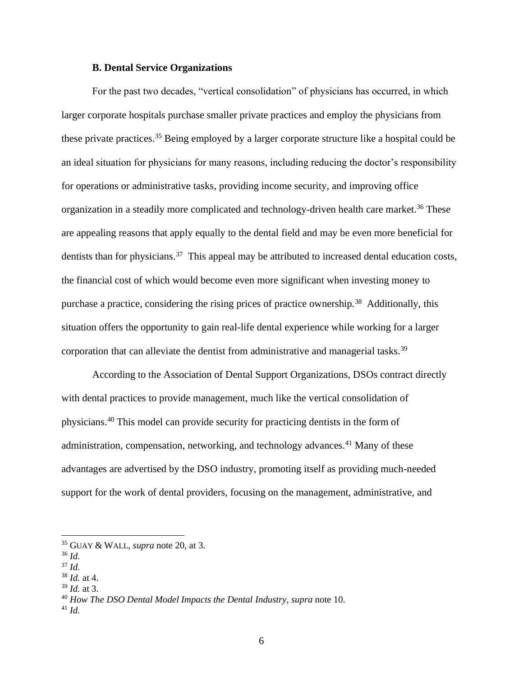#### **B. Dental Service Organizations**

For the past two decades, "vertical consolidation" of physicians has occurred, in which larger corporate hospitals purchase smaller private practices and employ the physicians from these private practices.<sup>35</sup> Being employed by a larger corporate structure like a hospital could be an ideal situation for physicians for many reasons, including reducing the doctor's responsibility for operations or administrative tasks, providing income security, and improving office organization in a steadily more complicated and technology-driven health care market.<sup>36</sup> These are appealing reasons that apply equally to the dental field and may be even more beneficial for dentists than for physicians.<sup>37</sup> This appeal may be attributed to increased dental education costs, the financial cost of which would become even more significant when investing money to purchase a practice, considering the rising prices of practice ownership.<sup>38</sup> Additionally, this situation offers the opportunity to gain real-life dental experience while working for a larger corporation that can alleviate the dentist from administrative and managerial tasks.<sup>39</sup>

According to the Association of Dental Support Organizations, DSOs contract directly with dental practices to provide management, much like the vertical consolidation of physicians.<sup>40</sup> This model can provide security for practicing dentists in the form of administration, compensation, networking, and technology advances.<sup>41</sup> Many of these advantages are advertised by the DSO industry, promoting itself as providing much-needed support for the work of dental providers, focusing on the management, administrative, and

<sup>35</sup> GUAY & WALL, *supra* note 20, at 3.

<sup>36</sup> *Id.* 

<sup>37</sup> *Id.*

<sup>38</sup> *Id.* at 4.

<sup>39</sup> *Id.* at 3.

<sup>40</sup> *How The DSO Dental Model Impacts the Dental Industry*, *supra* note 10.

<sup>41</sup> *Id.*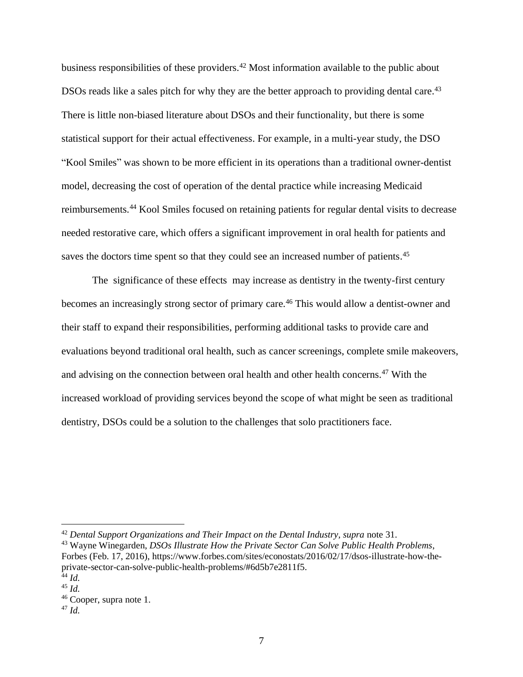business responsibilities of these providers.<sup>42</sup> Most information available to the public about DSOs reads like a sales pitch for why they are the better approach to providing dental care.<sup>43</sup> There is little non-biased literature about DSOs and their functionality, but there is some statistical support for their actual effectiveness. For example, in a multi-year study, the DSO "Kool Smiles" was shown to be more efficient in its operations than a traditional owner-dentist model, decreasing the cost of operation of the dental practice while increasing Medicaid reimbursements.<sup>44</sup> Kool Smiles focused on retaining patients for regular dental visits to decrease needed restorative care, which offers a significant improvement in oral health for patients and saves the doctors time spent so that they could see an increased number of patients.<sup>45</sup>

The significance of these effects may increase as dentistry in the twenty-first century becomes an increasingly strong sector of primary care.<sup>46</sup> This would allow a dentist-owner and their staff to expand their responsibilities, performing additional tasks to provide care and evaluations beyond traditional oral health, such as cancer screenings, complete smile makeovers, and advising on the connection between oral health and other health concerns.<sup>47</sup> With the increased workload of providing services beyond the scope of what might be seen as traditional dentistry, DSOs could be a solution to the challenges that solo practitioners face.

<sup>42</sup> *Dental Support Organizations and Their Impact on the Dental Industry, supra* note 31.

<sup>43</sup> Wayne Winegarden, *DSOs Illustrate How the Private Sector Can Solve Public Health Problems*, Forbes (Feb. 17, 2016), https://www.forbes.com/sites/econostats/2016/02/17/dsos-illustrate-how-theprivate-sector-can-solve-public-health-problems/#6d5b7e2811f5. <sup>44</sup> *Id.* 

<sup>45</sup> *Id.*

<sup>46</sup> Cooper, supra note 1.

<sup>47</sup> *Id.*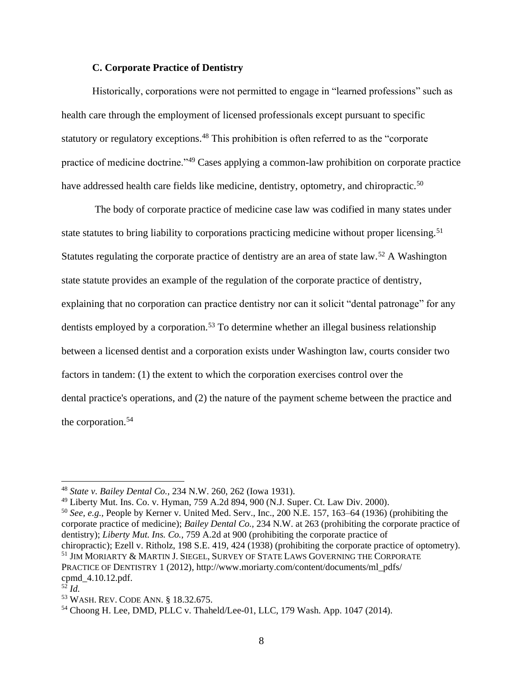#### **C. Corporate Practice of Dentistry**

Historically, corporations were not permitted to engage in "learned professions" such as health care through the employment of licensed professionals except pursuant to specific statutory or regulatory exceptions.<sup>48</sup> This prohibition is often referred to as the "corporate practice of medicine doctrine."<sup>49</sup> Cases applying a common-law prohibition on corporate practice have addressed health care fields like medicine, dentistry, optometry, and chiropractic.<sup>50</sup>

The body of corporate practice of medicine case law was codified in many states under state statutes to bring liability to corporations practicing medicine without proper licensing.<sup>51</sup> Statutes regulating the corporate practice of dentistry are an area of state law.<sup>52</sup> A Washington state statute provides an example of the regulation of the corporate practice of dentistry, explaining that no corporation can practice dentistry nor can it solicit "dental patronage" for any dentists employed by a corporation.<sup>53</sup> To determine whether an illegal business relationship between a licensed dentist and a corporation exists under Washington law, courts consider two factors in tandem: (1) the extent to which the corporation exercises control over the dental practice's operations, and (2) the nature of the payment scheme between the practice and the corporation. 54

<sup>50</sup> *See, e.g.,* People by Kerner v. United Med. Serv., Inc., 200 N.E. 157, 163–64 (1936) (prohibiting the corporate practice of medicine); *Bailey Dental Co.,* 234 N.W. at 263 (prohibiting the corporate practice of dentistry); *Liberty Mut. Ins. Co.,* 759 A.2d at 900 (prohibiting the corporate practice of chiropractic); Ezell v. Ritholz, 198 S.E. 419, 424 (1938) (prohibiting the corporate practice of optometry). <sup>51</sup> JIM MORIARTY & MARTIN J. SIEGEL, SURVEY OF STATE LAWS GOVERNING THE CORPORATE PRACTICE OF DENTISTRY 1 (2012), http://www.moriarty.com/content/documents/ml\_pdfs/ cpmd\_4.10.12.pdf.

<sup>48</sup> *State v. Bailey Dental Co.,* 234 N.W. 260, 262 (Iowa 1931).

<sup>49</sup> Liberty Mut. Ins. Co. v. Hyman, 759 A.2d 894, 900 (N.J. Super. Ct. Law Div. 2000).

 $^{52}$  *Id.* 

<sup>53</sup> WASH. REV. CODE ANN. § 18.32.675.

<sup>54</sup> Choong H. Lee, DMD, PLLC v. Thaheld/Lee-01, LLC, 179 Wash. App. 1047 (2014).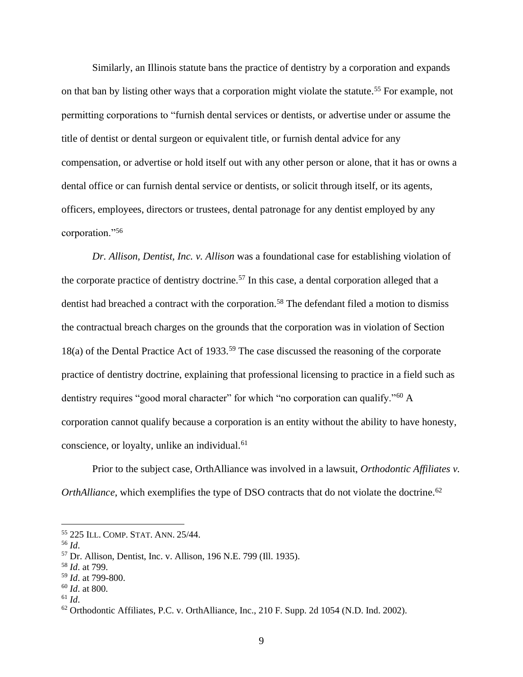Similarly, an Illinois statute bans the practice of dentistry by a corporation and expands on that ban by listing other ways that a corporation might violate the statute. <sup>55</sup> For example, not permitting corporations to "furnish dental services or dentists, or advertise under or assume the title of dentist or dental surgeon or equivalent title, or furnish dental advice for any compensation, or advertise or hold itself out with any other person or alone, that it has or owns a dental office or can furnish dental service or dentists, or solicit through itself, or its agents, officers, employees, directors or trustees, dental patronage for any dentist employed by any corporation."<sup>56</sup>

*Dr. Allison, Dentist, Inc. v. Allison* was a foundational case for establishing violation of the corporate practice of dentistry doctrine.<sup>57</sup> In this case, a dental corporation alleged that a dentist had breached a contract with the corporation. <sup>58</sup> The defendant filed a motion to dismiss the contractual breach charges on the grounds that the corporation was in violation of Section 18(a) of the Dental Practice Act of 1933.<sup>59</sup> The case discussed the reasoning of the corporate practice of dentistry doctrine, explaining that professional licensing to practice in a field such as dentistry requires "good moral character" for which "no corporation can qualify."<sup>60</sup> A corporation cannot qualify because a corporation is an entity without the ability to have honesty, conscience, or loyalty, unlike an individual.<sup>61</sup>

Prior to the subject case, OrthAlliance was involved in a lawsuit, *Orthodontic Affiliates v. OrthAlliance*, which exemplifies the type of DSO contracts that do not violate the doctrine.<sup>62</sup>

<sup>55</sup> 225 ILL. COMP. STAT. ANN. 25/44.

<sup>56</sup> *Id*.

<sup>57</sup> Dr. Allison, Dentist, Inc. v. Allison, 196 N.E. 799 (Ill. 1935).

<sup>58</sup> *Id*. at 799.

<sup>59</sup> *Id*. at 799-800.

<sup>60</sup> *Id*. at 800.

 $^{61}$  *Id*.

 $62$  Orthodontic Affiliates, P.C. v. OrthAlliance, Inc., 210 F. Supp. 2d 1054 (N.D. Ind. 2002).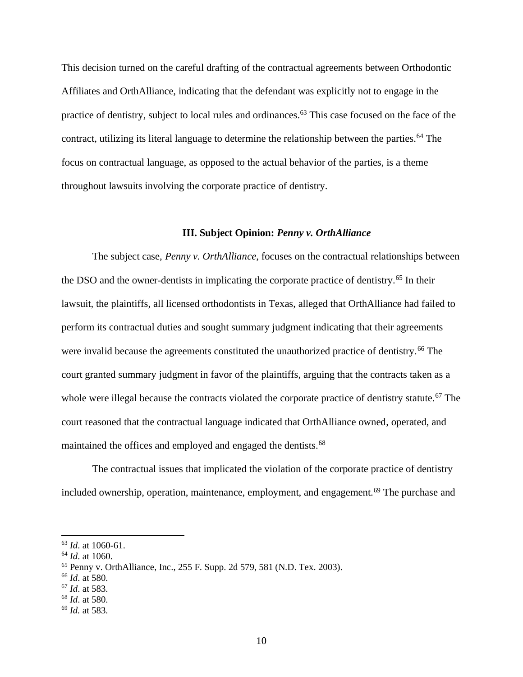This decision turned on the careful drafting of the contractual agreements between Orthodontic Affiliates and OrthAlliance, indicating that the defendant was explicitly not to engage in the practice of dentistry, subject to local rules and ordinances.<sup>63</sup> This case focused on the face of the contract, utilizing its literal language to determine the relationship between the parties.<sup>64</sup> The focus on contractual language, as opposed to the actual behavior of the parties, is a theme throughout lawsuits involving the corporate practice of dentistry.

#### **III. Subject Opinion:** *Penny v. OrthAlliance*

The subject case, *Penny v. OrthAlliance*, focuses on the contractual relationships between the DSO and the owner-dentists in implicating the corporate practice of dentistry.<sup>65</sup> In their lawsuit, the plaintiffs, all licensed orthodontists in Texas, alleged that OrthAlliance had failed to perform its contractual duties and sought summary judgment indicating that their agreements were invalid because the agreements constituted the unauthorized practice of dentistry.<sup>66</sup> The court granted summary judgment in favor of the plaintiffs, arguing that the contracts taken as a whole were illegal because the contracts violated the corporate practice of dentistry statute.<sup>67</sup> The court reasoned that the contractual language indicated that OrthAlliance owned, operated, and maintained the offices and employed and engaged the dentists.<sup>68</sup>

The contractual issues that implicated the violation of the corporate practice of dentistry included ownership, operation, maintenance, employment, and engagement.<sup>69</sup> The purchase and

<sup>63</sup> *Id*. at 1060-61.

<sup>64</sup> *Id*. at 1060.

<sup>65</sup> Penny v. OrthAlliance, Inc., 255 F. Supp. 2d 579, 581 (N.D. Tex. 2003).

<sup>66</sup> *Id*. at 580.

<sup>67</sup> *Id*. at 583.

<sup>68</sup> *Id*. at 580.

<sup>69</sup> *Id.* at 583.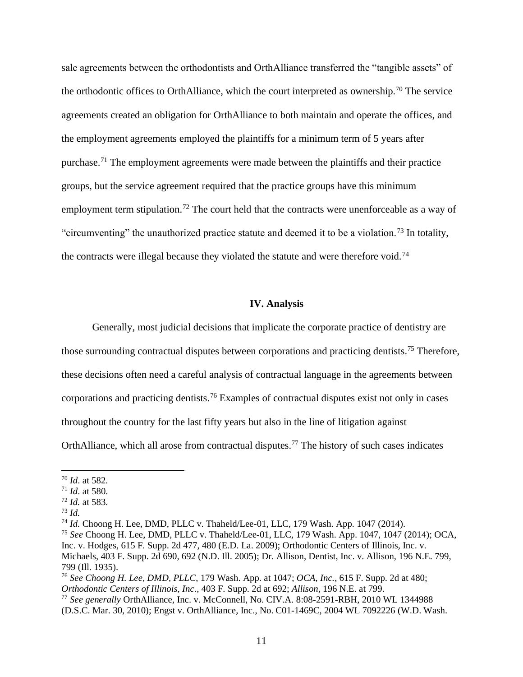sale agreements between the orthodontists and OrthAlliance transferred the "tangible assets" of the orthodontic offices to OrthAlliance, which the court interpreted as ownership.<sup>70</sup> The service agreements created an obligation for OrthAlliance to both maintain and operate the offices, and the employment agreements employed the plaintiffs for a minimum term of 5 years after purchase.<sup>71</sup> The employment agreements were made between the plaintiffs and their practice groups, but the service agreement required that the practice groups have this minimum employment term stipulation.<sup>72</sup> The court held that the contracts were unenforceable as a way of "circumventing" the unauthorized practice statute and deemed it to be a violation.<sup>73</sup> In totality, the contracts were illegal because they violated the statute and were therefore void.<sup>74</sup>

#### **IV. Analysis**

Generally, most judicial decisions that implicate the corporate practice of dentistry are those surrounding contractual disputes between corporations and practicing dentists.<sup>75</sup> Therefore, these decisions often need a careful analysis of contractual language in the agreements between corporations and practicing dentists.<sup>76</sup> Examples of contractual disputes exist not only in cases throughout the country for the last fifty years but also in the line of litigation against OrthAlliance, which all arose from contractual disputes.<sup>77</sup> The history of such cases indicates

<sup>70</sup> *Id*. at 582.

<sup>71</sup> *Id*. at 580.

<sup>72</sup> *Id.* at 583.

<sup>73</sup> *Id.*

<sup>74</sup> *Id.* Choong H. Lee, DMD, PLLC v. Thaheld/Lee-01, LLC, 179 Wash. App. 1047 (2014).

<sup>75</sup> *See* Choong H. Lee, DMD, PLLC v. Thaheld/Lee-01, LLC, 179 Wash. App. 1047, 1047 (2014); OCA, Inc. v. Hodges, 615 F. Supp. 2d 477, 480 (E.D. La. 2009); Orthodontic Centers of Illinois, Inc. v. Michaels, 403 F. Supp. 2d 690, 692 (N.D. Ill. 2005); Dr. Allison, Dentist, Inc. v. Allison, 196 N.E. 799, 799 (Ill. 1935).

<sup>76</sup> *See Choong H. Lee, DMD, PLLC*, 179 Wash. App. at 1047; *OCA, Inc.*, 615 F. Supp. 2d at 480; *Orthodontic Centers of Illinois, Inc.*, 403 F. Supp. 2d at 692; *Allison*, 196 N.E. at 799.

<sup>77</sup> *See generally* OrthAlliance, Inc. v. McConnell, No. CIV.A. 8:08-2591-RBH, 2010 WL 1344988 (D.S.C. Mar. 30, 2010); Engst v. OrthAlliance, Inc., No. C01-1469C, 2004 WL 7092226 (W.D. Wash.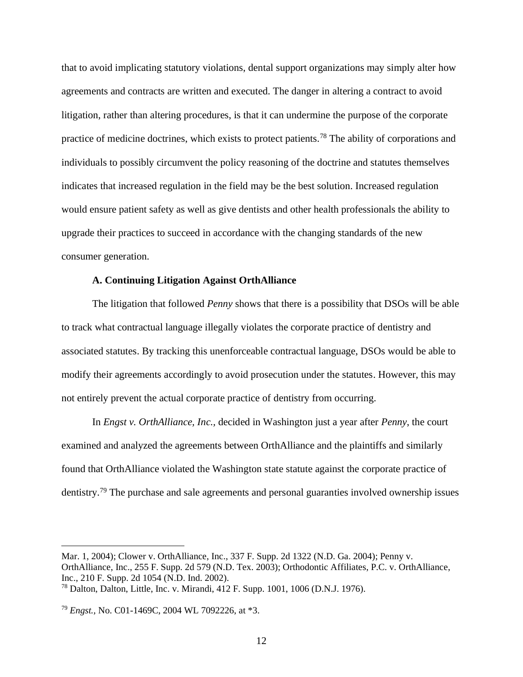that to avoid implicating statutory violations, dental support organizations may simply alter how agreements and contracts are written and executed. The danger in altering a contract to avoid litigation, rather than altering procedures, is that it can undermine the purpose of the corporate practice of medicine doctrines, which exists to protect patients.<sup>78</sup> The ability of corporations and individuals to possibly circumvent the policy reasoning of the doctrine and statutes themselves indicates that increased regulation in the field may be the best solution. Increased regulation would ensure patient safety as well as give dentists and other health professionals the ability to upgrade their practices to succeed in accordance with the changing standards of the new consumer generation.

#### **A. Continuing Litigation Against OrthAlliance**

The litigation that followed *Penny* shows that there is a possibility that DSOs will be able to track what contractual language illegally violates the corporate practice of dentistry and associated statutes. By tracking this unenforceable contractual language, DSOs would be able to modify their agreements accordingly to avoid prosecution under the statutes. However, this may not entirely prevent the actual corporate practice of dentistry from occurring.

In *Engst v. OrthAlliance, Inc.,* decided in Washington just a year after *Penny*, the court examined and analyzed the agreements between OrthAlliance and the plaintiffs and similarly found that OrthAlliance violated the Washington state statute against the corporate practice of dentistry.<sup>79</sup> The purchase and sale agreements and personal guaranties involved ownership issues

Mar. 1, 2004); Clower v. OrthAlliance, Inc., 337 F. Supp. 2d 1322 (N.D. Ga. 2004); Penny v. OrthAlliance, Inc., 255 F. Supp. 2d 579 (N.D. Tex. 2003); Orthodontic Affiliates, P.C. v. OrthAlliance, Inc., 210 F. Supp. 2d 1054 (N.D. Ind. 2002). <sup>78</sup> Dalton, Dalton, Little, Inc. v. Mirandi, 412 F. Supp. 1001, 1006 (D.N.J. 1976).

<sup>79</sup> *Engst.,* No. C01-1469C, 2004 WL 7092226, at \*3.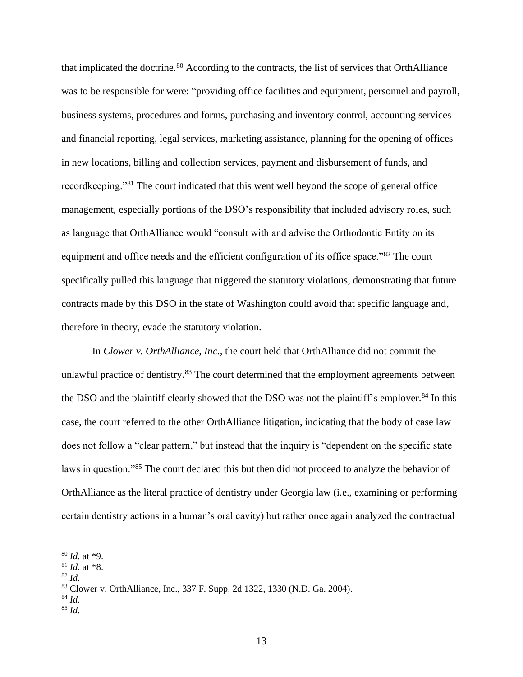that implicated the doctrine.<sup>80</sup> According to the contracts, the list of services that OrthAlliance was to be responsible for were: "providing office facilities and equipment, personnel and payroll, business systems, procedures and forms, purchasing and inventory control, accounting services and financial reporting, legal services, marketing assistance, planning for the opening of offices in new locations, billing and collection services, payment and disbursement of funds, and recordkeeping."<sup>81</sup> The court indicated that this went well beyond the scope of general office management, especially portions of the DSO's responsibility that included advisory roles, such as language that OrthAlliance would "consult with and advise the Orthodontic Entity on its equipment and office needs and the efficient configuration of its office space."<sup>82</sup> The court specifically pulled this language that triggered the statutory violations, demonstrating that future contracts made by this DSO in the state of Washington could avoid that specific language and, therefore in theory, evade the statutory violation.

In *Clower v. OrthAlliance, Inc.,* the court held that OrthAlliance did not commit the unlawful practice of dentistry.<sup>83</sup> The court determined that the employment agreements between the DSO and the plaintiff clearly showed that the DSO was not the plaintiff's employer. <sup>84</sup> In this case, the court referred to the other OrthAlliance litigation, indicating that the body of case law does not follow a "clear pattern," but instead that the inquiry is "dependent on the specific state laws in question."<sup>85</sup> The court declared this but then did not proceed to analyze the behavior of OrthAlliance as the literal practice of dentistry under Georgia law (i.e., examining or performing certain dentistry actions in a human's oral cavity) but rather once again analyzed the contractual

<sup>84</sup> *Id.*

<sup>80</sup> *Id.* at \*9.

<sup>81</sup> *Id.* at \*8.

 $82$  *Id.* 

<sup>83</sup> Clower v. OrthAlliance, Inc., 337 F. Supp. 2d 1322, 1330 (N.D. Ga. 2004).

<sup>85</sup> *Id.*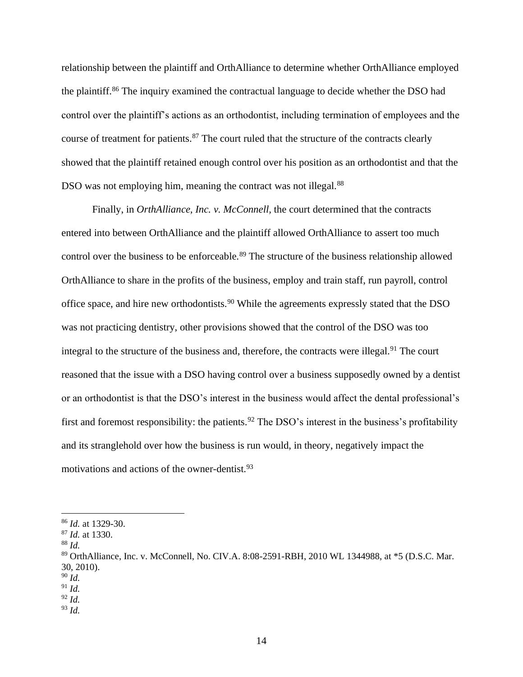relationship between the plaintiff and OrthAlliance to determine whether OrthAlliance employed the plaintiff.<sup>86</sup> The inquiry examined the contractual language to decide whether the DSO had control over the plaintiff's actions as an orthodontist, including termination of employees and the course of treatment for patients.<sup>87</sup> The court ruled that the structure of the contracts clearly showed that the plaintiff retained enough control over his position as an orthodontist and that the DSO was not employing him, meaning the contract was not illegal.<sup>88</sup>

Finally, in *OrthAlliance, Inc. v. McConnell,* the court determined that the contracts entered into between OrthAlliance and the plaintiff allowed OrthAlliance to assert too much control over the business to be enforceable.<sup>89</sup> The structure of the business relationship allowed OrthAlliance to share in the profits of the business, employ and train staff, run payroll, control office space, and hire new orthodontists.<sup>90</sup> While the agreements expressly stated that the DSO was not practicing dentistry, other provisions showed that the control of the DSO was too integral to the structure of the business and, therefore, the contracts were illegal.<sup>91</sup> The court reasoned that the issue with a DSO having control over a business supposedly owned by a dentist or an orthodontist is that the DSO's interest in the business would affect the dental professional's first and foremost responsibility: the patients.<sup>92</sup> The DSO's interest in the business's profitability and its stranglehold over how the business is run would, in theory, negatively impact the motivations and actions of the owner-dentist.<sup>93</sup>

<sup>86</sup> *Id.* at 1329-30.

<sup>87</sup> *Id.* at 1330.

<sup>88</sup> *Id.*

<sup>89</sup> OrthAlliance, Inc. v. McConnell, No. CIV.A. 8:08-2591-RBH, 2010 WL 1344988, at \*5 (D.S.C. Mar. 30, 2010).

<sup>90</sup> *Id.* 

<sup>91</sup> *Id.*

<sup>92</sup> *Id.*

<sup>93</sup> *Id.*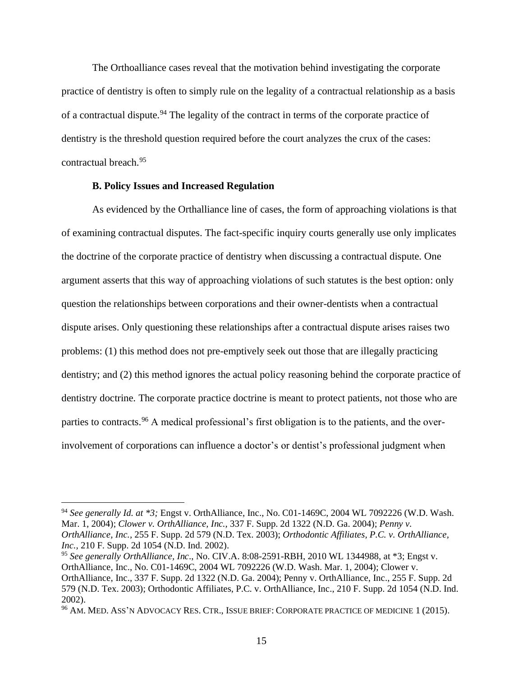The Orthoalliance cases reveal that the motivation behind investigating the corporate practice of dentistry is often to simply rule on the legality of a contractual relationship as a basis of a contractual dispute.<sup>94</sup> The legality of the contract in terms of the corporate practice of dentistry is the threshold question required before the court analyzes the crux of the cases: contractual breach.<sup>95</sup>

#### **B. Policy Issues and Increased Regulation**

As evidenced by the Orthalliance line of cases, the form of approaching violations is that of examining contractual disputes. The fact-specific inquiry courts generally use only implicates the doctrine of the corporate practice of dentistry when discussing a contractual dispute. One argument asserts that this way of approaching violations of such statutes is the best option: only question the relationships between corporations and their owner-dentists when a contractual dispute arises. Only questioning these relationships after a contractual dispute arises raises two problems: (1) this method does not pre-emptively seek out those that are illegally practicing dentistry; and (2) this method ignores the actual policy reasoning behind the corporate practice of dentistry doctrine. The corporate practice doctrine is meant to protect patients, not those who are parties to contracts.<sup>96</sup> A medical professional's first obligation is to the patients, and the overinvolvement of corporations can influence a doctor's or dentist's professional judgment when

<sup>94</sup> *See generally Id. at \*3;* Engst v. OrthAlliance, Inc., No. C01-1469C, 2004 WL 7092226 (W.D. Wash. Mar. 1, 2004); *Clower v. OrthAlliance, Inc.,* 337 F. Supp. 2d 1322 (N.D. Ga. 2004); *Penny v. OrthAlliance, Inc.,* 255 F. Supp. 2d 579 (N.D. Tex. 2003); *Orthodontic Affiliates, P.C. v. OrthAlliance, Inc.,* 210 F. Supp. 2d 1054 (N.D. Ind. 2002).

<sup>95</sup> *See generally OrthAlliance, Inc*., No. CIV.A. 8:08-2591-RBH, 2010 WL 1344988, at \*3; Engst v. OrthAlliance, Inc., No. C01-1469C, 2004 WL 7092226 (W.D. Wash. Mar. 1, 2004); Clower v. OrthAlliance, Inc., 337 F. Supp. 2d 1322 (N.D. Ga. 2004); Penny v. OrthAlliance, Inc., 255 F. Supp. 2d 579 (N.D. Tex. 2003); Orthodontic Affiliates, P.C. v. OrthAlliance, Inc., 210 F. Supp. 2d 1054 (N.D. Ind. 2002).

<sup>96</sup> AM. MED. ASS'N ADVOCACY RES. CTR., ISSUE BRIEF: CORPORATE PRACTICE OF MEDICINE 1 (2015).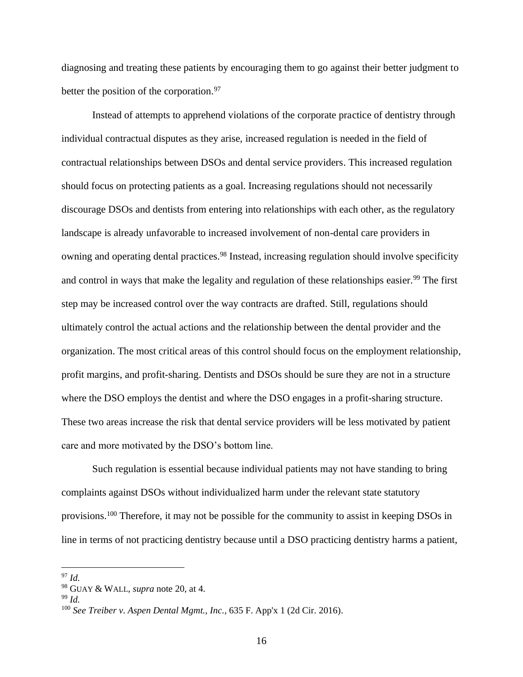diagnosing and treating these patients by encouraging them to go against their better judgment to better the position of the corporation.<sup>97</sup>

Instead of attempts to apprehend violations of the corporate practice of dentistry through individual contractual disputes as they arise, increased regulation is needed in the field of contractual relationships between DSOs and dental service providers. This increased regulation should focus on protecting patients as a goal. Increasing regulations should not necessarily discourage DSOs and dentists from entering into relationships with each other, as the regulatory landscape is already unfavorable to increased involvement of non-dental care providers in owning and operating dental practices.<sup>98</sup> Instead, increasing regulation should involve specificity and control in ways that make the legality and regulation of these relationships easier.<sup>99</sup> The first step may be increased control over the way contracts are drafted. Still, regulations should ultimately control the actual actions and the relationship between the dental provider and the organization. The most critical areas of this control should focus on the employment relationship, profit margins, and profit-sharing. Dentists and DSOs should be sure they are not in a structure where the DSO employs the dentist and where the DSO engages in a profit-sharing structure. These two areas increase the risk that dental service providers will be less motivated by patient care and more motivated by the DSO's bottom line.

Such regulation is essential because individual patients may not have standing to bring complaints against DSOs without individualized harm under the relevant state statutory provisions.<sup>100</sup> Therefore, it may not be possible for the community to assist in keeping DSOs in line in terms of not practicing dentistry because until a DSO practicing dentistry harms a patient,

<sup>97</sup> *Id.*

<sup>98</sup> GUAY & WALL, *supra* note 20, at 4.

<sup>99</sup> *Id.*

<sup>100</sup> *See Treiber v. Aspen Dental Mgmt., Inc.,* 635 F. App'x 1 (2d Cir. 2016).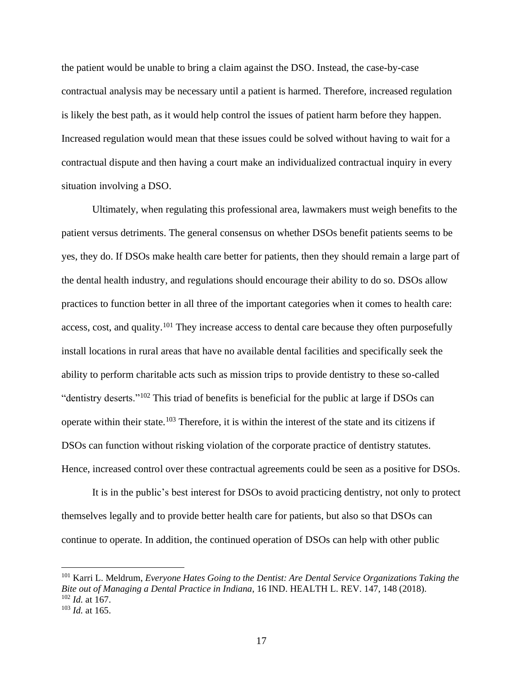the patient would be unable to bring a claim against the DSO. Instead, the case-by-case contractual analysis may be necessary until a patient is harmed. Therefore, increased regulation is likely the best path, as it would help control the issues of patient harm before they happen. Increased regulation would mean that these issues could be solved without having to wait for a contractual dispute and then having a court make an individualized contractual inquiry in every situation involving a DSO.

Ultimately, when regulating this professional area, lawmakers must weigh benefits to the patient versus detriments. The general consensus on whether DSOs benefit patients seems to be yes, they do. If DSOs make health care better for patients, then they should remain a large part of the dental health industry, and regulations should encourage their ability to do so. DSOs allow practices to function better in all three of the important categories when it comes to health care: access, cost, and quality.<sup>101</sup> They increase access to dental care because they often purposefully install locations in rural areas that have no available dental facilities and specifically seek the ability to perform charitable acts such as mission trips to provide dentistry to these so-called "dentistry deserts."<sup>102</sup> This triad of benefits is beneficial for the public at large if DSOs can operate within their state.<sup>103</sup> Therefore, it is within the interest of the state and its citizens if DSOs can function without risking violation of the corporate practice of dentistry statutes. Hence, increased control over these contractual agreements could be seen as a positive for DSOs.

It is in the public's best interest for DSOs to avoid practicing dentistry, not only to protect themselves legally and to provide better health care for patients, but also so that DSOs can continue to operate. In addition, the continued operation of DSOs can help with other public

<sup>101</sup> Karri L. Meldrum, *Everyone Hates Going to the Dentist: Are Dental Service Organizations Taking the Bite out of Managing a Dental Practice in Indiana*, 16 IND. HEALTH L. REV. 147, 148 (2018). <sup>102</sup> *Id.* at 167. <sup>103</sup> *Id.* at 165.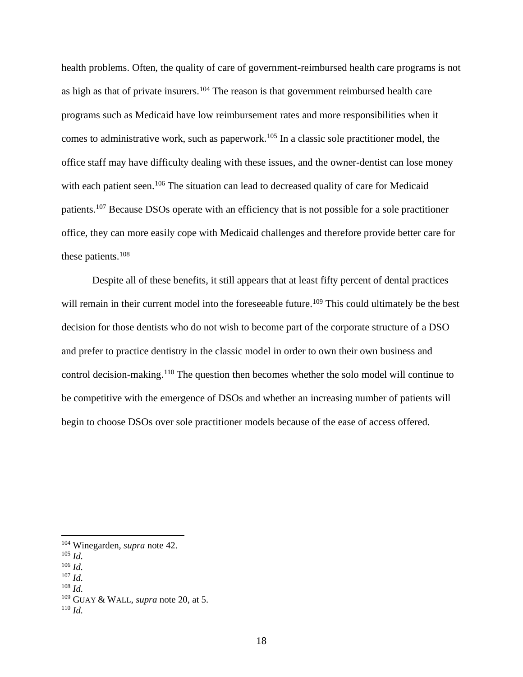health problems. Often, the quality of care of government-reimbursed health care programs is not as high as that of private insurers.<sup>104</sup> The reason is that government reimbursed health care programs such as Medicaid have low reimbursement rates and more responsibilities when it comes to administrative work, such as paperwork.<sup>105</sup> In a classic sole practitioner model, the office staff may have difficulty dealing with these issues, and the owner-dentist can lose money with each patient seen.<sup>106</sup> The situation can lead to decreased quality of care for Medicaid patients.<sup>107</sup> Because DSOs operate with an efficiency that is not possible for a sole practitioner office, they can more easily cope with Medicaid challenges and therefore provide better care for these patients.<sup>108</sup>

Despite all of these benefits, it still appears that at least fifty percent of dental practices will remain in their current model into the foreseeable future.<sup>109</sup> This could ultimately be the best decision for those dentists who do not wish to become part of the corporate structure of a DSO and prefer to practice dentistry in the classic model in order to own their own business and control decision-making.<sup>110</sup> The question then becomes whether the solo model will continue to be competitive with the emergence of DSOs and whether an increasing number of patients will begin to choose DSOs over sole practitioner models because of the ease of access offered.

<sup>107</sup> *Id.* <sup>108</sup> *Id.*

<sup>104</sup> Winegarden, *supra* note 42.

<sup>105</sup> *Id.*

<sup>106</sup> *Id.*

<sup>109</sup> GUAY & WALL, *supra* note 20, at 5.

<sup>110</sup> *Id.*